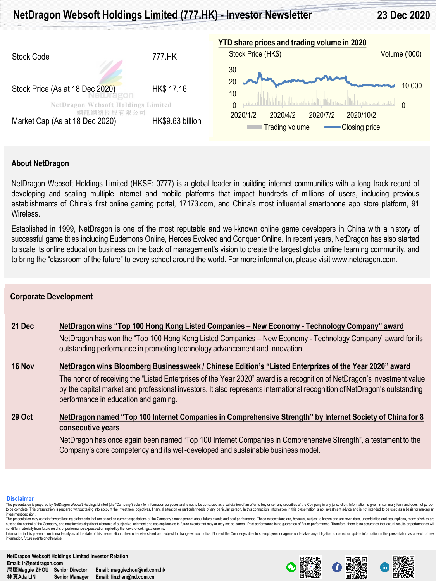# **NetDragon Websoft Holdings Limited (777.HK) - Investor Newsletter**

**23 Dec 2020**



#### **About NetDragon**

NetDragon Websoft Holdings Limited (HKSE: 0777) is a global leader in building internet communities with a long track record of developing and scaling multiple internet and mobile platforms that impact hundreds of millions of users, including previous establishments of China's first online gaming portal, 17173.com, and China's most influential smartphone app store platform, 91 Wireless.

Established in 1999, NetDragon is one of the most reputable and well-known online game developers in China with a history of successful game titles including Eudemons Online, Heroes Evolved and Conquer Online. In recent years, NetDragon has also started to scale its online education business on the back of management's vision to create the largest global online learning community, and to bring the "classroom of the future" to every school around the world. For more information, please visit www.netdragon.com.

#### **Corporate Development**

**21 Dec NetDragon wins "Top 100 Hong Kong Listed Companies – New Economy - Technology Company" award** NetDragon has won the "Top 100 Hong Kong Listed Companies – New Economy - Technology Company" award for its outstanding performance in promoting technology advancement and innovation. **16 Nov NetDragon wins Bloomberg Businessweek / Chinese Edition's "Listed Enterprizes of the Year 2020" award** The honor of receiving the "Listed Enterprises of the Year 2020" award is a recognition of NetDragon's investment value by the capital market and professional investors. It also represents international recognition of NetDragon's outstanding performance in education and gaming. **29 Oct NetDragon named "Top 100 Internet Companies in Comprehensive Strength" by Internet Society of China for 8 consecutive years**

> NetDragon has once again been named "Top 100 Internet Companies in Comprehensive Strength", a testament to the Company's core competency and its well-developed and sustainable business model.

#### **Disclaimer**

This presentation is prepared by NetDragon Websoft Holdings Limited (the "Company") solely for information purposes and is not to be construed as a solicitation of an offer to buy or sell any securities of the Company in a of the communication of the communication of the communication of the communication of the communication of the communication of the communication of the communication of the communication of the communication of the commu investment decision.

This presentation may contain forward looking statements that are based on current expectations of the Company's management about future events and past performance. These expectations are, however, subject to known and un outside the oontrol of the Company, and may involve significant elements of subjective judgment and assumptions as to future events that may or may not be correct. Past performance is no guarantee of future performance. Th

Information in this presentation is made only as at the date of this presentation unless otherwise stated and subject to change without notice. None of the Company's directors, employees or agents undertakes any obligation information, future events or otherwise.

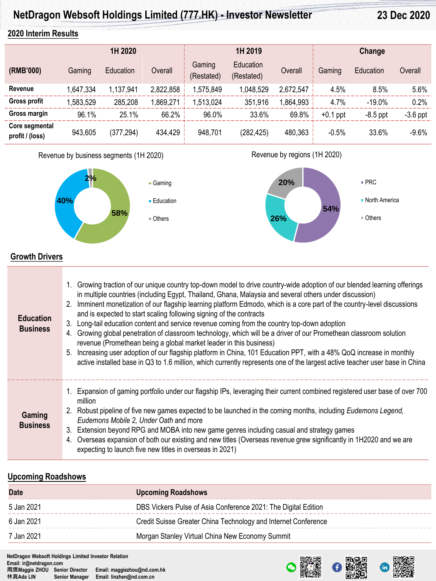# **NetDragon Websoft Holdings Limited (777.HK) - Investor Newsletter**

**23 Dec 2020**

## **2020 Interim Results**

|                                   |           | 1H 2020    |           |                      | 1H 2019                        |           |            | Change     |            |
|-----------------------------------|-----------|------------|-----------|----------------------|--------------------------------|-----------|------------|------------|------------|
| (RMB'000)                         | Gaming    | Education  | Overall   | Gaming<br>(Restated) | <b>Education</b><br>(Restated) | Overall   | Gaming     | Education  | Overall    |
| Revenue                           | 1,647,334 | ,137,941   | 2,822,858 | 1,575,849            | 1,048,529                      | 2,672,547 | 4.5%       | 8.5%       | 5.6%       |
| Gross profit                      | 583,529   | 285,208    | .869,271  | .513,024             | 351,916                        | .864,993  | 4.7%       | $-19.0%$   | 0.2%       |
| Gross margin                      | 96.1%     | 25.1%      | 66.2%     | 96.0%                | 33.6%                          | 69.8%     | $+0.1$ ppt | $-8.5$ ppt | $-3.6$ ppt |
| Core segmental<br>profit / (loss) | 943,605   | (377, 294) | 434,429   | 948,701              | (282, 425)                     | 480,363   | $-0.5%$    | 33.6%      | $-9.6%$    |

#### Revenue by business segments (1H 2020)



Revenue by regions (1H 2020)



# **Growth Drivers**

| <b>Education</b><br><b>Business</b> | 1. Growing traction of our unique country top-down model to drive country-wide adoption of our blended learning offerings<br>in multiple countries (including Egypt, Thailand, Ghana, Malaysia and several others under discussion)<br>2. Imminent monetization of our flagship learning platform Edmodo, which is a core part of the country-level discussions<br>and is expected to start scaling following signing of the contracts<br>3. Long-tail education content and service revenue coming from the country top-down adoption<br>4. Growing global penetration of classroom technology, which will be a driver of our Promethean classroom solution<br>revenue (Promethean being a global market leader in this business)<br>5. Increasing user adoption of our flagship platform in China, 101 Education PPT, with a 48% QoQ increase in monthly<br>active installed base in Q3 to 1.6 million, which currently represents one of the largest active teacher user base in China |
|-------------------------------------|-------------------------------------------------------------------------------------------------------------------------------------------------------------------------------------------------------------------------------------------------------------------------------------------------------------------------------------------------------------------------------------------------------------------------------------------------------------------------------------------------------------------------------------------------------------------------------------------------------------------------------------------------------------------------------------------------------------------------------------------------------------------------------------------------------------------------------------------------------------------------------------------------------------------------------------------------------------------------------------------|
| Gaming<br><b>Business</b>           | 1. Expansion of gaming portfolio under our flagship IPs, leveraging their current combined registered user base of over 700<br>million<br>2. Robust pipeline of five new games expected to be launched in the coming months, including Eudemons Legend,<br>Eudemons Mobile 2, Under Oath and more<br>3. Extension beyond RPG and MOBA into new game genres including casual and strategy games<br>Overseas expansion of both our existing and new titles (Overseas revenue grew significantly in 1H2020 and we are<br>4.<br>expecting to launch five new titles in overseas in 2021)                                                                                                                                                                                                                                                                                                                                                                                                      |

### **Upcoming Roadshows**

| <b>Date</b> | <b>Upcoming Roadshows</b>                                      |
|-------------|----------------------------------------------------------------|
| 5 Jan 2021  | DBS Vickers Pulse of Asia Conference 2021: The Digital Edition |
| 6 Jan 2021  | Credit Suisse Greater China Technology and Internet Conference |
| 7 Jan 2021  | Morgan Stanley Virtual China New Economy Summit                |

**NetDragon Websoft Holdings Limited Investor Relation Email: ir@netdragon.com 周鹰Maggie ZHOU Senior Director Email: maggiezhou@nd.com.hk 林真Ada LIN Senior Manager Email: linzhen@nd.com.cn**

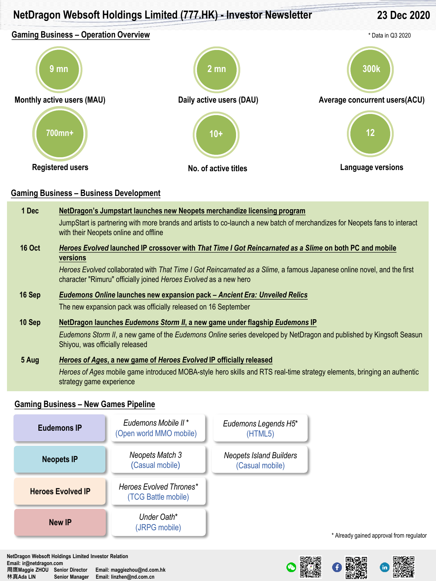

### **Gaming Business – Business Development**

| 1 Dec         | NetDragon's Jumpstart launches new Neopets merchandize licensing program                                                                                                                     |
|---------------|----------------------------------------------------------------------------------------------------------------------------------------------------------------------------------------------|
|               | JumpStart is partnering with more brands and artists to co-launch a new batch of merchandizes for Neopets fans to interact<br>with their Neopets online and offline                          |
| <b>16 Oct</b> | Heroes Evolved launched IP crossover with That Time I Got Reincarnated as a Slime on both PC and mobile<br>versions                                                                          |
|               | Heroes Evolved collaborated with That Time I Got Reincarnated as a Slime, a famous Japanese online novel, and the first<br>character "Rimuru" officially joined Heroes Evolved as a new hero |
| 16 Sep        | Eudemons Online launches new expansion pack - Ancient Era: Unveiled Relics                                                                                                                   |
|               | The new expansion pack was officially released on 16 September                                                                                                                               |
| 10 Sep        | NetDragon launches Eudemons Storm II, a new game under flagship Eudemons IP                                                                                                                  |
|               | Eudemons Storm II, a new game of the Eudemons Online series developed by NetDragon and published by Kingsoft Seasun<br>Shiyou, was officially released                                       |
| 5 Aug         | Heroes of Ages, a new game of Heroes Evolved IP officially released                                                                                                                          |
|               | Heroes of Ages mobile game introduced MOBA-style hero skills and RTS real-time strategy elements, bringing an authentic<br>strategy game experience                                          |

## **Gaming Business – New Games Pipeline**



**NetDragon Websoft Holdings Limited Investor Relation Email: ir@netdragon.com 周鹰Maggie ZHOU Senior Director Email: maggiezhou@nd.com.hk 林真Ada LIN Senior Manager Email: linzhen@nd.com.cn**

\* Already gained approval from regulator